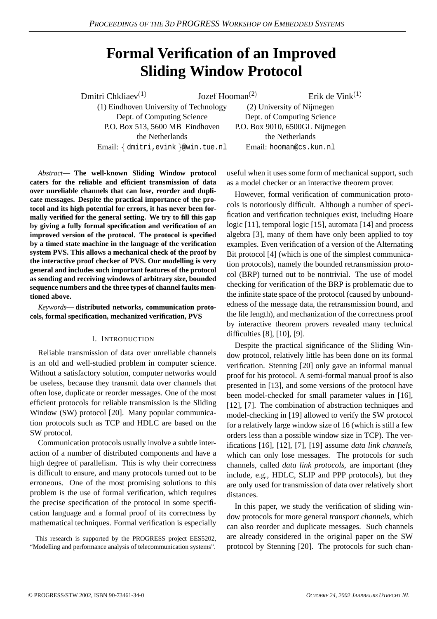# **Formal Verification of an Improved Sliding Window Protocol**

Dmitri Chkliaev<sup>(1)</sup> Jozef Hooman 2 (1) Eindhoven University of Technology (2) University of Nijmegen Dept. of Computing Science Dept. of Computing Science P.O. Box 513, 5600 MB Eindhoven P.O. Box 9010, 6500GL Nijmegen the Netherlands the Netherlands Email: - dmitri,evink @win.tue.nl Email: hooman@cs.kun.nl

Erik de Vink $^{(1)}$ 

*Abstract***— The well-known Sliding Window protocol caters for the reliable and efficient transmission of data over unreliable channels that can lose, reorder and duplicate messages. Despite the practical importance of the protocol and its high potential for errors, it has never been formally verified for the general setting. We try to fill this gap by giving a fully formal specification and verification of an improved version of the protocol. The protocol is specified by a timed state machine in the language of the verification system PVS. This allows a mechanical check of the proof by the interactive proof checker of PVS. Our modelling is very general and includes such important features of the protocol as sending and receiving windows of arbitrary size, bounded sequence numbers and the three types of channel faults mentioned above.**

*Keywords***— distributed networks, communication protocols, formal specification, mechanized verification, PVS**

#### I. INTRODUCTION

Reliable transmission of data over unreliable channels is an old and well-studied problem in computer science. Without a satisfactory solution, computer networks would be useless, because they transmit data over channels that often lose, duplicate or reorder messages. One of the most efficient protocols for reliable transmission is the Sliding Window (SW) protocol [20]. Many popular communication protocols such as TCP and HDLC are based on the SW protocol.

Communication protocols usually involve a subtle interaction of a number of distributed components and have a high degree of parallelism. This is why their correctness is difficult to ensure, and many protocols turned out to be erroneous. One of the most promising solutions to this problem is the use of formal verification, which requires the precise specification of the protocol in some specification language and a formal proof of its correctness by mathematical techniques. Formal verification is especially

This research is supported by the PROGRESS project EES5202, "Modelling and performance analysis of telecommunication systems".

useful when it uses some form of mechanical support, such as a model checker or an interactive theorem prover.

However, formal verification of communication protocols is notoriously difficult. Although a number of specification and verification techniques exist, including Hoare logic [11], temporal logic [15], automata [14] and process algebra [3], many of them have only been applied to toy examples. Even verification of a version of the Alternating Bit protocol [4] (which is one of the simplest communication protocols), namely the bounded retransmission protocol (BRP) turned out to be nontrivial. The use of model checking for verification of the BRP is problematic due to the infinite state space of the protocol (caused by unboundedness of the message data, the retransmission bound, and the file length), and mechanization of the correctness proof by interactive theorem provers revealed many technical difficulties [8], [10], [9].

Despite the practical significance of the Sliding Window protocol, relatively little has been done on its formal verification. Stenning [20] only gave an informal manual proof for his protocol. A semi-formal manual proof is also presented in [13], and some versions of the protocol have been model-checked for small parameter values in [16], [12], [7]. The combination of abstraction techniques and model-checking in [19] allowed to verify the SW protocol for a relatively large window size of 16 (which is still a few orders less than a possible window size in TCP). The verifications [16], [12], [7], [19] assume *data link channels*, which can only lose messages. The protocols for such channels, called *data link protocols*, are important (they include, e.g., HDLC, SLIP and PPP protocols), but they are only used for transmission of data over relatively short distances.

In this paper, we study the verification of sliding window protocols for more general *transport channels*, which can also reorder and duplicate messages. Such channels are already considered in the original paper on the SW protocol by Stenning [20]. The protocols for such chan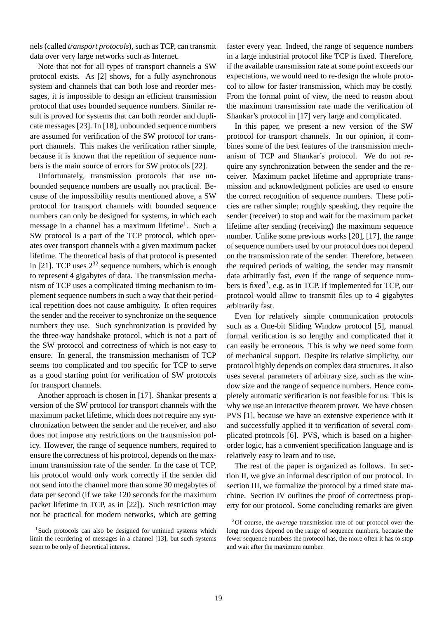nels (called *transport protocols*), such as TCP, can transmit data over very large networks such as Internet.

Note that not for all types of transport channels a SW protocol exists. As [2] shows, for a fully asynchronous system and channels that can both lose and reorder messages, it is impossible to design an efficient transmission protocol that uses bounded sequence numbers. Similar result is proved for systems that can both reorder and duplicate messages [23]. In [18], unbounded sequence numbers are assumed for verification of the SW protocol for transport channels. This makes the verification rather simple, because it is known that the repetition of sequence numbers is the main source of errors for SW protocols [22].

Unfortunately, transmission protocols that use unbounded sequence numbers are usually not practical. Because of the impossibility results mentioned above, a SW protocol for transport channels with bounded sequence numbers can only be designed for systems, in which each message in a channel has a maximum lifetime<sup>1</sup>. Such a SW protocol is a part of the TCP protocol, which operates over transport channels with a given maximum packet lifetime. The theoretical basis of that protocol is presented in [21]. TCP uses  $2^{32}$  sequence numbers, which is enough to represent 4 gigabytes of data. The transmission mechanism of TCP uses a complicated timing mechanism to implement sequence numbers in such a way that their periodical repetition does not cause ambiguity. It often requires the sender and the receiver to synchronize on the sequence numbers they use. Such synchronization is provided by the three-way handshake protocol, which is not a part of the SW protocol and correctness of which is not easy to ensure. In general, the transmission mechanism of TCP seems too complicated and too specific for TCP to serve as a good starting point for verification of SW protocols for transport channels.

Another approach is chosen in [17]. Shankar presents a version of the SW protocol for transport channels with the maximum packet lifetime, which does not require any synchronization between the sender and the receiver, and also does not impose any restrictions on the transmission policy. However, the range of sequence numbers, required to ensure the correctness of his protocol, depends on the maximum transmission rate of the sender. In the case of TCP, his protocol would only work correctly if the sender did not send into the channel more than some 30 megabytes of data per second (if we take 120 seconds for the maximum packet lifetime in TCP, as in [22]). Such restriction may not be practical for modern networks, which are getting faster every year. Indeed, the range of sequence numbers in a large industrial protocol like TCP is fixed. Therefore, if the available transmission rate at some point exceeds our expectations, we would need to re-design the whole protocol to allow for faster transmission, which may be costly. From the formal point of view, the need to reason about the maximum transmission rate made the verification of Shankar's protocol in [17] very large and complicated.

In this paper, we present a new version of the SW protocol for transport channels. In our opinion, it combines some of the best features of the transmission mechanism of TCP and Shankar's protocol. We do not require any synchronization between the sender and the receiver. Maximum packet lifetime and appropriate transmission and acknowledgment policies are used to ensure the correct recognition of sequence numbers. These policies are rather simple; roughly speaking, they require the sender (receiver) to stop and wait for the maximum packet lifetime after sending (receiving) the maximum sequence number. Unlike some previous works [20], [17], the range of sequence numbers used by our protocol does not depend on the transmission rate of the sender. Therefore, between the required periods of waiting, the sender may transmit data arbitrarily fast, even if the range of sequence numbers is fixed<sup>2</sup>, e.g. as in TCP. If implemented for TCP, our protocol would allow to transmit files up to 4 gigabytes arbitrarily fast.

Even for relatively simple communication protocols such as a One-bit Sliding Window protocol [5], manual formal verification is so lengthy and complicated that it can easily be erroneous. This is why we need some form of mechanical support. Despite its relative simplicity, our protocol highly depends on complex data structures. It also uses several parameters of arbitrary size, such as the window size and the range of sequence numbers. Hence completely automatic verification is not feasible for us. This is why we use an interactive theorem prover. We have chosen PVS [1], because we have an extensive experience with it and successfully applied it to verification of several complicated protocols [6]. PVS, which is based on a higherorder logic, has a convenient specification language and is relatively easy to learn and to use.

The rest of the paper is organized as follows. In section II, we give an informal description of our protocol. In section III, we formalize the protocol by a timed state machine. Section IV outlines the proof of correctness property for our protocol. Some concluding remarks are given

<sup>&</sup>lt;sup>1</sup>Such protocols can also be designed for untimed systems which limit the reordering of messages in a channel [13], but such systems seem to be only of theoretical interest.

<sup>2</sup>Of course, the *average* transmission rate of our protocol over the long run does depend on the range of sequence numbers, because the fewer sequence numbers the protocol has, the more often it has to stop and wait after the maximum number.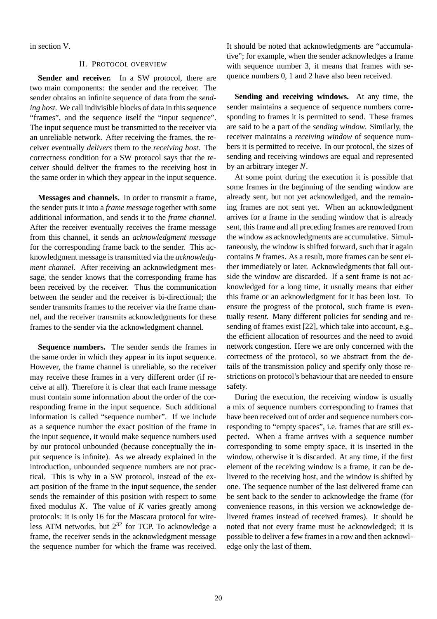in section V.

### II. PROTOCOL OVERVIEW

**Sender and receiver.** In a SW protocol, there are two main components: the sender and the receiver. The sender obtains an infinite sequence of data from the *sending host*. We call indivisible blocks of data in this sequence "frames", and the sequence itself the "input sequence". The input sequence must be transmitted to the receiver via an unreliable network. After receiving the frames, the receiver eventually *delivers* them to the *receiving host*. The correctness condition for a SW protocol says that the receiver should deliver the frames to the receiving host in the same order in which they appear in the input sequence.

**Messages and channels.** In order to transmit a frame, the sender puts it into a *frame message* together with some additional information, and sends it to the *frame channel*. After the receiver eventually receives the frame message from this channel, it sends an *acknowledgment message* for the corresponding frame back to the sender. This acknowledgment message is transmitted via the *acknowledgment channel*. After receiving an acknowledgment message, the sender knows that the corresponding frame has been received by the receiver. Thus the communication between the sender and the receiver is bi-directional; the sender transmits frames to the receiver via the frame channel, and the receiver transmits acknowledgments for these frames to the sender via the acknowledgment channel.

**Sequence numbers.** The sender sends the frames in the same order in which they appear in its input sequence. However, the frame channel is unreliable, so the receiver may receive these frames in a very different order (if receive at all). Therefore it is clear that each frame message must contain some information about the order of the corresponding frame in the input sequence. Such additional information is called "sequence number". If we include as a sequence number the exact position of the frame in the input sequence, it would make sequence numbers used by our protocol unbounded (because conceptually the input sequence is infinite). As we already explained in the introduction, unbounded sequence numbers are not practical. This is why in a SW protocol, instead of the exact position of the frame in the input sequence, the sender sends the remainder of this position with respect to some fixed modulus *K*. The value of *K* varies greatly among protocols: it is only 16 for the Mascara protocol for wireless ATM networks, but  $2^{32}$  for TCP. To acknowledge a frame, the receiver sends in the acknowledgment message the sequence number for which the frame was received.

It should be noted that acknowledgments are "accumulative"; for example, when the sender acknowledges a frame with sequence number 3, it means that frames with sequence numbers 0, 1 and 2 have also been received.

**Sending and receiving windows.** At any time, the sender maintains a sequence of sequence numbers corresponding to frames it is permitted to send. These frames are said to be a part of the *sending window*. Similarly, the receiver maintains a *receiving window* of sequence numbers it is permitted to receive. In our protocol, the sizes of sending and receiving windows are equal and represented by an arbitrary integer *N*.

At some point during the execution it is possible that some frames in the beginning of the sending window are already sent, but not yet acknowledged, and the remaining frames are not sent yet. When an acknowledgment arrives for a frame in the sending window that is already sent, this frame and all preceding frames are removed from the window as acknowledgments are accumulative. Simultaneously, the window is shifted forward, such that it again contains *N* frames. As a result, more frames can be sent either immediately or later. Acknowledgments that fall outside the window are discarded. If a sent frame is not acknowledged for a long time, it usually means that either this frame or an acknowledgment for it has been lost. To ensure the progress of the protocol, such frame is eventually *resent*. Many different policies for sending and resending of frames exist [22], which take into account, e.g., the efficient allocation of resources and the need to avoid network congestion. Here we are only concerned with the correctness of the protocol, so we abstract from the details of the transmission policy and specify only those restrictions on protocol's behaviour that are needed to ensure safety.

During the execution, the receiving window is usually a mix of sequence numbers corresponding to frames that have been received out of order and sequence numbers corresponding to "empty spaces", i.e. frames that are still expected. When a frame arrives with a sequence number corresponding to some empty space, it is inserted in the window, otherwise it is discarded. At any time, if the first element of the receiving window is a frame, it can be delivered to the receiving host, and the window is shifted by one. The sequence number of the last delivered frame can be sent back to the sender to acknowledge the frame (for convenience reasons, in this version we acknowledge delivered frames instead of received frames). It should be noted that not every frame must be acknowledged; it is possible to deliver a few framesin a row and then acknowledge only the last of them.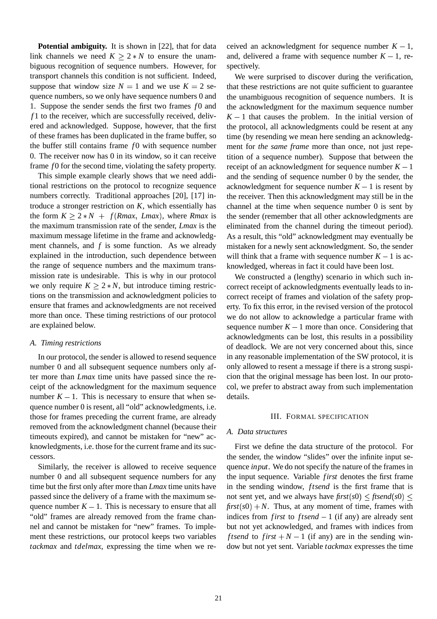**Potential ambiguity.** It is shown in [22], that for data link channels we need  $K \ge 2*N$  to ensure the unambiguous recognition of sequence numbers. However, for transport channels this condition is not sufficient. Indeed, suppose that window size  $N = 1$  and we use  $K = 2$  sequence numbers, so we only have sequence numbers 0 and 1. Suppose the sender sends the first two frames  $f_0$  and *f* 1 to the receiver, which are successfully received, delivered and acknowledged. Suppose, however, that the first of these frames has been duplicated in the frame buffer, so the buffer still contains frame *f*0 with sequence number 0. The receiver now has 0 in its window, so it can receive frame *f* 0 for the second time, violating the safety property.

This simple example clearly shows that we need additional restrictions on the protocol to recognize sequence numbers correctly. Traditional approaches [20], [17] introduce a stronger restriction on *K*, which essentially has the form  $K \geq 2*N + f(Rmax, Lmax)$ , where *Rmax* is the maximum transmission rate of the sender, *Lmax* is the maximum message lifetime in the frame and acknowledgment channels, and *f* is some function. As we already explained in the introduction, such dependence between the range of sequence numbers and the maximum transmission rate is undesirable. This is why in our protocol we only require  $K \geq 2*N$ , but introduce timing restrictions on the transmission and acknowledgment policies to ensure that frames and acknowledgments are not received more than once. These timing restrictions of our protocol are explained below.

### *A. Timing restrictions*

In our protocol, the sender is allowed to resend sequence number 0 and all subsequent sequence numbers only after more than *Lmax* time units have passed since the receipt of the acknowledgment for the maximum sequence number  $K - 1$ . This is necessary to ensure that when sequence number 0 is resent, all "old" acknowledgments, i.e. those for frames preceding the current frame, are already removed from the acknowledgment channel (because their timeouts expired), and cannot be mistaken for "new" acknowledgments, i.e. those for the current frame and its successors.

Similarly, the receiver is allowed to receive sequence number 0 and all subsequent sequence numbers for any time but the first only after more than *Lmax* time units have passed since the delivery of a frame with the maximum sequence number  $K - 1$ . This is necessary to ensure that all "old" frames are already removed from the frame channel and cannot be mistaken for "new" frames. To implement these restrictions, our protocol keeps two variables *tackmax* and *tdelmax*, expressing the time when we received an acknowledgment for sequence number  $K - 1$ , and, delivered a frame with sequence number  $K - 1$ , respectively.

We were surprised to discover during the verification, that these restrictions are not quite sufficient to guarantee the unambiguous recognition of sequence numbers. It is the acknowledgment for the maximum sequence number  $K - 1$  that causes the problem. In the initial version of the protocol, all acknowledgments could be resent at any time (by resending we mean here sending an acknowledgment for *the same frame* more than once, not just repetition of a sequence number). Suppose that between the receipt of an acknowledgment for sequence number  $K - 1$ and the sending of sequence number 0 by the sender, the acknowledgment for sequence number  $K - 1$  is resent by the receiver. Then this acknowledgment may still be in the channel at the time when sequence number 0 is sent by the sender (remember that all other acknowledgments are eliminated from the channel during the timeout period). As a result, this "old" acknowledgment may eventually be mistaken for a newly sent acknowledgment. So, the sender will think that a frame with sequence number  $K - 1$  is acknowledged, whereas in fact it could have been lost.

We constructed a (lengthy) scenario in which such incorrect receipt of acknowledgments eventually leads to incorrect receipt of frames and violation of the safety property. To fix this error, in the revised version of the protocol we do not allow to acknowledge a particular frame with sequence number  $K - 1$  more than once. Considering that acknowledgments can be lost, this results in a possibility of deadlock. We are not very concerned about this, since in any reasonable implementation of the SW protocol, it is only allowed to resent a message if there is a strong suspicion that the original message has been lost. In our protocol, we prefer to abstract away from such implementation details.

#### III. FORMAL SPECIFICATION

#### *A. Data structures*

First we define the data structure of the protocol. For the sender, the window "slides" over the infinite input sequence *input*. We do not specify the nature of the framesin the input sequence. Variable *first* denotes the first frame in the sending window, *ftsend* is the first frame that is not sent yet, and we always have  $first(s0) \leq fixed(s0) \leq$  $\frac{first(s0) + N}{s}$ . Thus, at any moment of time, frames with indices from *first* to *ftsend*  $-1$  (if any) are already sent but not yet acknowledged, and frames with indices from *ftsend* to *first*  $+N-1$  (if any) are in the sending window but not yet sent. Variable *tackmax* expresses the time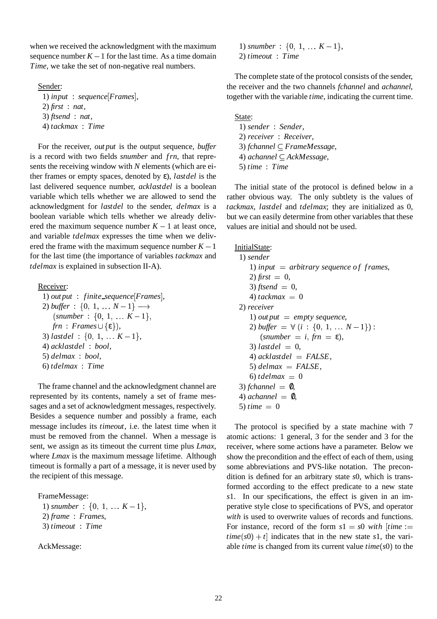when we received the acknowledgment with the maximum sequence number  $K - 1$  for the last time. As a time domain *Time*, we take the set of non-negative real numbers.

### Sender:

1) *input* : *sequence Frames* , 2) *first* : *nat*, 3) *ftsend* : *nat*, 4) *tackmax* : *Time*

For the receiver, *out put* is the output sequence, *buffer* is a record with two fields *snumber* and *frn*, that represents the receiving window with *N* elements (which are either frames or empty spaces, denoted by ε), *lastdel* is the last delivered sequence number, *acklastdel* is a boolean variable which tells whether we are allowed to send the acknowledgment for *lastdel* to the sender, *delmax* is a boolean variable which tells whether we already delivered the maximum sequence number  $K - 1$  at least once, and variable *tdelmax* expresses the time when we delivered the frame with the maximum sequence number  $K - 1$ for the last time (the importance of variables *tackmax* and *tdelmax* is explained in subsection II-A).

Receiver:

1) *out put* : *finite sequence Frames* , 2) *buffer* :  $\{0, 1, \ldots N-1\} \longrightarrow$  $(snumber : \{0, 1, \ldots K-1\},\$  $\mathit{fm}$  :  $\mathit{Frames} \cup \{\varepsilon\}$ ),  $3)$  *lastdel* :  $\{0, 1, \ldots K-1\},\$ 4) *acklastdel* : *bool*, 5) *delmax* : *bool*, 6) *tdelmax* : *Time*

The frame channel and the acknowledgment channel are represented by its contents, namely a set of frame messages and a set of acknowledgment messages, respectively. Besides a sequence number and possibly a frame, each message includes its *timeout*, i.e. the latest time when it must be removed from the channel. When a message is sent, we assign as its timeout the current time plus *Lmax*, where *Lmax* is the maximum message lifetime. Although timeout is formally a part of a message, it is never used by the recipient of this message.

FrameMessage:

1) snumber :  $\{0, 1, \ldots K-1\},\$ 2) *frame* : *Frames*, 3) *timeout* : *Time*

AckMessage:

1) snumber :  $\{0, 1, \ldots K-1\},\$ 2) *timeout* : *Time*

The complete state of the protocol consists of the sender, the receiver and the two channels *fchannel* and *achannel*, together with the variable *time*, indicating the current time.

State:

1) *sender* : *Sender*, 2) *receiver* : *Receiver*, 3) *fchannel FrameMessage*, 4) *achannel AckMessage*, 5) *time* : *Time*

The initial state of the protocol is defined below in a rather obvious way. The only subtlety is the values of *tackmax*, *lastdel* and *tdelmax*; they are initialized as 0, but we can easily determine from other variables that these values are initial and should not be used.

InitialState:

1) *sender* 1) *input* = *arbitrary sequence of frames*,  $2)$  *first* = 0,  $3)$  *ftsend* = 0,  $4)$  *tackmax* = 0 2) *receiver* 1) *out*  $put = empty$  *sequence*,  $2)$  *buffer* =  $\forall$  (*i* : {0, 1, ...  $N-1$ }) :  $(snumber = i, frn = \varepsilon),$  $3)$  *lastdel* = 0, 4) *acklastdel FALSE*, 5)  $\delta$ *delmax* = FALSE,  $6)$  *tdelmax* = 0  $3)$  *fchannel* =  $\mathbf{0}$ , 4)  $$ 5)  $time = 0$ 

The protocol is specified by a state machine with 7 atomic actions: 1 general, 3 for the sender and 3 for the receiver, where some actions have a parameter. Below we show the precondition and the effect of each of them, using some abbreviations and PVS-like notation. The precondition is defined for an arbitrary state *s*0, which is transformed according to the effect predicate to a new state *s*1. In our specifications, the effect is given in an imperative style close to specifications of PVS, and operator *with* is used to overwrite values of records and functions. For instance, record of the form  $s1 = s0$  *with*  $\theta$  *time* :=  $time(s0) + t$  indicates that in the new state *s*1, the variable *time* is changed from its current value  $time(s0)$  to the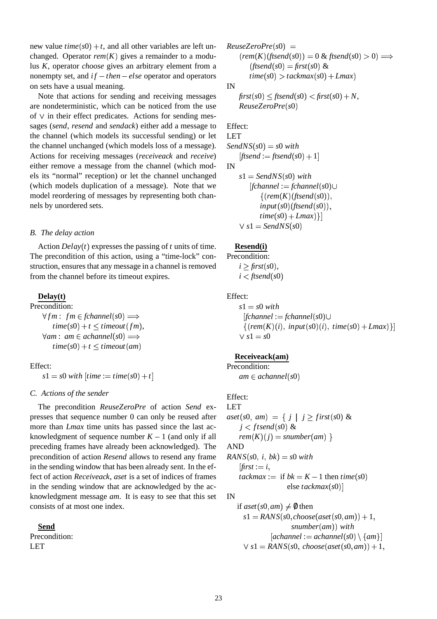new value  $time(s0) + t$ , and all other variables are left unchanged. Operator  $rem(K)$  gives a remainder to a modulus *K*, operator *choose* gives an arbitrary element from a nonempty set, and  $if - then - else$  operator and operators on sets have a usual meaning.

Note that actions for sending and receiving messages are nondeterministic, which can be noticed from the use of  $\vee$  in their effect predicates. Actions for sending messages (*send*, *resend* and *sendack*) either add a message to the channel (which models its successful sending) or let the channel unchanged (which models loss of a message). Actions for receiving messages (*receiveack* and *receive*) either remove a message from the channel (which models its "normal" reception) or let the channel unchanged (which models duplication of a message). Note that we model reordering of messages by representing both channels by unordered sets.

#### *B. The delay action*

Action  $Delay(t)$  expresses the passing of *t* units of time. The precondition of this action, using a "time-lock" construction, ensures that any message in a channel is removed from the channel before its timeout expires.

## **Delay(t)**

Precondition:

 $\forall fm: fm \in \text{fchannel}(s0) \Longrightarrow$  $time(s0) + t \leq timeout(fm)$ ,  $\forall am: am \in achannel(s0) \Longrightarrow$  $time(s0) + t \leq timeout(am)$ 

Effect:

 $s1 = s0$  *with*  $[time := time(s0) + t]$ 

### *C. Actions of the sender*

The precondition *ReuseZeroPre* of action *Send* expresses that sequence number 0 can only be reused after more than *Lmax* time units has passed since the last acknowledgment of sequence number  $K - 1$  (and only if all preceding frames have already been acknowledged). The precondition of action *Resend* allows to resend any frame in the sending window that has been already sent. In the effect of action *Receiveack*, *aset* is a set of indices of frames in the sending window that are acknowledged by the acknowledgment message *am*. It is easy to see that this set consists of at most one index.

**Send** Precondition: LET

$$
ReuseZeroPre(s0) =
$$
  
\n
$$
(rem(K)(ftsend(s0)) = 0 \& ftsend(s0) > 0) \Longrightarrow
$$
  
\n
$$
(ftsend(s0) = first(s0) \&
$$
  
\n
$$
time(s0) > tackmax(s0) + Lmax)
$$

 $\text{first}(s0) \leq \text{ftsend}(s0) < \text{first}(s0) + N$ , *ReuseZeroPre s*0

Effect:

LET  $SendNS(s0) = s0$  with  $[ftsend := \text{ftsend}(s0) + 1]$ IN

 $s1 =$  *SendNS* $(s0)$  *with fchannel* : *fchannel s*0  $\{ (rem(K)(ftsend(s0)),$  $input(s0)$  (*ftsend*(s0)),  $time(s0) + Lmax$  $\}]$  $\vee$   $s1 = \text{SendNS}(s0)$ 

## **Resend(i)**

Precondition:  $i \geq$  *first*(*s*0),  $i <$  *ftsend*(s0)

Effect:

 $s1 = s0$  *with fchannel* : *fchannel s*0  $\{ (rem(K)(i), input(s0)(i), time(s0) + Lmax) \}$  $\vee$   $s1 = s0$ 

## **Receiveack(am)**

Precondition:  $am \in achannel(s0)$ 

## Effect:

LET  $a$ *set*(*s*0, *am*) = { *j* | *j*  $\ge$  *first*(*s*0) & *j* < *ftsend*(s0) &  $rem(K)(j) = sumber(am)$  } AND  $RANS(s0, i, bk) = s0 with$  $first := i$ *tackmax* := if  $bk = K - 1$  then *time*(*s*0) else *tackmax*(*s*0)]

IN

if  $\textit{aset}(s0, am) \neq \emptyset$  then  $s1 = RANS(s0, choose(aset(s0, am)) + 1,$ *snumber am with*  $[achannel := achannel(s0) \setminus \{am\}]$  $\vee$   $s1 = RANS(s0, \text{choose} (s0, \text{am})) + 1,$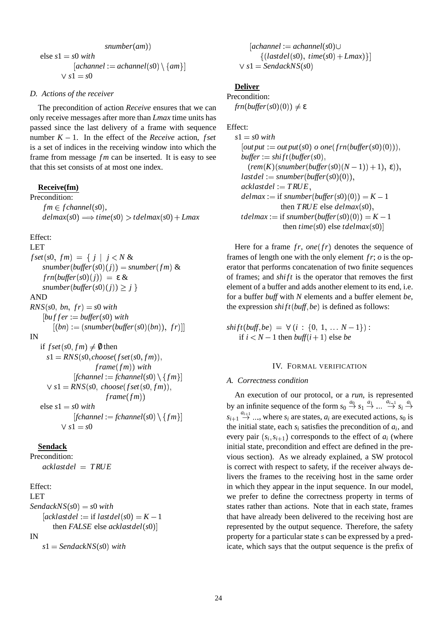$$
snumber(am))
$$
  
else s1 = s0 with  
[achannel := achannel(s0) \ \{am\}]  

$$
\lor s1 = s0
$$

#### *D. Actions of the receiver*

The precondition of action *Receive* ensures that we can only receive messages after more than *Lmax* time units has passed since the last delivery of a frame with sequence number  $K - 1$ . In the effect of the *Receive* action, *fset* is a set of indices in the receiving window into which the frame from message *fm* can be inserted. It is easy to see that this set consists of at most one index.

#### **Receive(fm)**

Precondition:  $fm \in fchannel(s0),$  $delmax(s0) \Longrightarrow time(s0) > tdelmax(s0) + Lmax$ 

## Effect:

LET  $fset(s0, fm) = \{ j | j < N \&$  $snumber(buster(s0)(j)) = snumber(fm)$  &  $frn(buster(s0)(j)) = \varepsilon \&$  $snumber(buster(s0)(j)) \geq j$ AND  $RNS(s0, bn, fr) = s0$  with  $[buffer := buffer(s0)$  with  $[(bn) := (snumber(buster(s0)(bn)), fr)]]$ IN if  $fset(s0, fm) \neq \emptyset$  then  $s1 = RNS(s0, choose(fset(s0, fm)),$  $frame(fm)$ ) with  $[fchannel := fchannel(s0) \setminus \{fm\}]$ 

$$
\forall s1 = \text{RNS}(s0, \text{choose}(\text{set}(s0, \text{fm})),
$$
\n
$$
\text{frame}(\text{fm}))
$$
\nelse s1 = s0 with\n[
$$
\text{[channel} := \text{fchannel}(s0) \setminus \{\text{fm}\}\text{]}
$$

 $\vee$   $s1 = s0$ 

#### **Sendack**

```
Precondition:
acklastdel  TRUE
```
#### Effect:

LET  $SendackNS(s0) = s0$  *with*  $[acklastdel := \text{if } lastdel(s0) = K - 1]$ then *FALSE* else *acklastdel*(*s*0)] IN

$$
s1 = \text{Sendack} \times S(s0) \text{ with}
$$

 $[achannel := achannel(s0) \cup$  $\{(lastdel(s0), time(s0) + Lmax)\}]$  $\vee$  *s*1 = *SendackNS*(*s*0)

# **Deliver**

Precondition:  $frn(buster(s0)(0)) \neq \varepsilon$ 

Effect:

 $s1 = s0$  *with*  $\left[\text{out put} := \text{out put}(s0) \text{ o one}(\text{fm}(\text{buffer}(s0)(0))),\right]$  $buffer := shift(buster(s0),$  $(\textit{rem}(K)(\textit{number}( \textit{buffer}( \textit{s0}) (N-1)) + 1), \varepsilon)),$  $\textit{lastdel} := \textit{snumber}(\textit{buffer}(s0)(0)),$  $acklastdel := TRUE,$  $delmax :=$  if  $snumber(butter(s0)(0)) = K - 1$ then *TRUE* else  $delmax(s0)$ ,  $t$ *delmax* := if *snumber*(*buffer*(*s*0)(0)) =  $K - 1$  $\mathit{then\ time(s0)\ else\ tdelmax(s0)}$ 

Here for a frame  $fr$ , one( $fr$ ) denotes the sequence of frames of length one with the only element *fr*; *o* is the operator that performs concatenation of two finite sequences of frames; and *shi ft* is the operator that removes the first element of a buffer and adds another element to its end, i.e. for a buffer *buff* with *N* elements and a buffer element *be*, the expression  $shift(buff, be)$  is defined as follows:

 $shift(buff, be) = \forall (i : \{0, 1, \ldots N-1\})$ : if  $i < N - 1$  then *buff* $(i + 1)$  else *be* 

## IV. FORMAL VERIFICATION

#### *A. Correctness condition*

An execution of our protocol, or a *run*, is represented by an infinite sequence of the form  $s_0 \stackrel{a_0}{\rightarrow} s_1 \stackrel{a_1}{\rightarrow} \dots \stackrel{a_{i-1}}{\rightarrow} s_i \stackrel{a_i}{\rightarrow}$  $s_{i+1} \stackrel{a_{i+1}}{\rightarrow} ...$ , where  $s_i$  are states,  $a_i$  are executed actions,  $s_0$  is the initial state, each  $s_i$  satisfies the precondition of  $a_i$ , and every pair  $(s_i, s_{i+1})$  corresponds to the effect of  $a_i$  (where initial state, precondition and effect are defined in the previous section). As we already explained, a SW protocol is correct with respect to safety, if the receiver always delivers the frames to the receiving host in the same order in which they appear in the input sequence. In our model, we prefer to define the correctness property in terms of states rather than actions. Note that in each state, frames that have already been delivered to the receiving host are represented by the output sequence. Therefore, the safety property for a particular state *s* can be expressed by a predicate, which says that the output sequence is the prefix of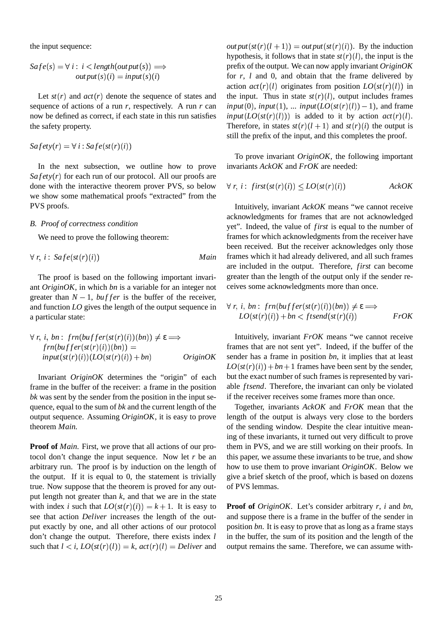the input sequence:

$$
Safe(s) = \forall i: i < length(output(s)) \implies
$$
  
out put(s)(i) = input(s)(i) \nfor  
if

Let  $st(r)$  and  $act(r)$  denote the sequence of states and sequence of actions of a run *r*, respectively. A run *r* can now be defined as correct, if each state in this run satisfies the safety property.

$$
Safety(r) = \forall i : Safe(st(r)(i))
$$

In the next subsection, we outline how to prove  $Safety(r)$  for each run of our protocol. All our proofs are done with the interactive theorem prover PVS, so below we show some mathematical proofs "extracted" from the PVS proofs.

#### *B. Proof of correctness condition*

We need to prove the following theorem:

$$
\forall r, i: \;Safe(st(r)(i)) \qquad \qquad Main
$$

The proof is based on the following important invariant *OriginOK*, in which *bn* is a variable for an integer not greater than  $N - 1$ , *buffer* is the buffer of the receiver, and function *LO* gives the length of the output sequence in a particular state:

$$
\forall r, i, bn: frn(buffer(st(r)(i))(bn)) \neq \varepsilon \Longrightarrow
$$
  
\n
$$
frn(buffer(st(r)(i))(bn)) =
$$
  
\n
$$
input(st(r)(i))(LO(st(r)(i)) + bn)
$$
 
$$
Origin OK
$$

Invariant *OriginOK* determines the "origin" of each frame in the buffer of the receiver: a frame in the position *bk* was sent by the sender from the position in the input sequence, equal to the sum of *bk* and the current length of the output sequence. Assuming *OriginOK*, it is easy to prove theorem *Main*.

**Proof of** *Main*. First, we prove that all actions of our protocol don't change the input sequence. Now let *r* be an arbitrary run. The proof is by induction on the length of the output. If it is equal to 0, the statement is trivially true. Now suppose that the theorem is proved for any output length not greater than *k*, and that we are in the state with index *i* such that  $LO(st(r)(i)) = k + 1$ . It is easy to see that action *Deliver* increases the length of the output exactly by one, and all other actions of our protocol don't change the output. Therefore, there exists index *l* such that  $l < i$ ,  $LO(st(r)(l)) = k$ ,  $act(r)(l) = Deliver$  and

 $output(st(r)(l + 1)) = output(st(r)(i)).$  By the induction hypothesis, it follows that in state  $st(r)(l)$ , the input is the prefix of the output. We can now apply invariant *OriginOK* for *r*, *l* and 0, and obtain that the frame delivered by action  $act(r)(l)$  originates from position  $LO(st(r)(l))$  in the input. Thus in state  $st(r)(l)$ , output includes frames  $input(0)$ ,  $input(1)$ , ...  $input(LO(st(r)(l)) - 1)$ , and frame  $input(LO(st(r)(l)))$  is added to it by action  $act(r)(l)$ . Therefore, in states  $st(r)(l + 1)$  and  $st(r)(i)$  the output is still the prefix of the input, and this completes the proof.

To prove invariant *OriginOK*, the following important invariants *AckOK* and *FrOK* are needed:

$$
\forall r, i: \text{ first}(\text{st}(r)(i)) \leq LO(\text{st}(r)(i)) \qquad \qquad \text{Acknowled�}
$$

Intuitively, invariant *AckOK* means "we cannot receive acknowledgments for frames that are not acknowledged yet". Indeed, the value of *first* is equal to the number of frames for which acknowledgments from the receiver have been received. But the receiver acknowledges only those frames which it had already delivered, and all such frames are included in the output. Therefore, *first* can become greater than the length of the output only if the sender receives some acknowledgments more than once.

$$
\forall r, i, bn: frn(buffer(st(r)(i))(bn)) \neq \varepsilon \Longrightarrow
$$
  
 
$$
LO(st(r)(i)) + bn < ftsend(st(r)(i)) \qquad \qquad FrOK
$$

 $\phi \neq \varepsilon \Longrightarrow$  Intuitively, invariant *FrOK* means "we cannot receive frames that are not sent yet". Indeed, if the buffer of the sender has a frame in position *bn*, it implies that at least  $LO(st(r)(i)) + bn + 1$  frames have been sent by the sender, but the exact number of such frames is represented by variable *ftsend*. Therefore, the invariant can only be violated if the receiver receives some frames more than once.

> Together, invariants *AckOK* and *FrOK* mean that the length of the output is always very close to the borders of the sending window. Despite the clear intuitive meaning of these invariants, it turned out very difficult to prove them in PVS, and we are still working on their proofs. In this paper, we assume these invariants to be true, and show how to use them to prove invariant *OriginOK*. Below we give a brief sketch of the proof, which is based on dozens of PVS lemmas.

> **Proof of** *OriginOK*. Let's consider arbitrary *r*, *i* and *bn*, and suppose there is a frame in the buffer of the sender in position *bn*. It is easy to prove that as long as a frame stays in the buffer, the sum of its position and the length of the output remains the same. Therefore, we can assume with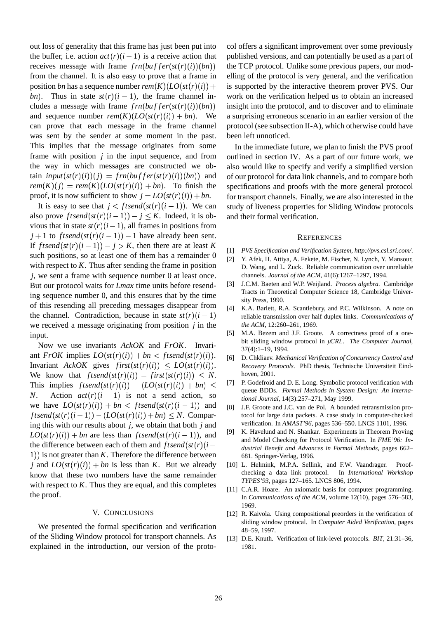out loss of generality that this frame has just been put into the buffer, i.e. action  $act(r)(i-1)$  is a receive action that receives message with frame  $frn(buffer(st(r)(i))(bn))$ from the channel. It is also easy to prove that a frame in position *bn* has a sequence number  $rem(K)(LO(st(r)(i)) +$ bn). Thus in state  $st(r)(i-1)$ , the frame channel includes a message with frame  $frn(buffer(st(r)(i))(bn))$ and sequence number  $rem(K)(LO(st(r)(i)) + bn)$ . We a can prove that each message in the frame channel was sent by the sender at some moment in the past. This implies that the message originates from some frame with position *j* in the input sequence, and from the way in which messages are constructed we ob- $\tan \text{input}(st(r)(i))(j) = \text{frn}(buffer(st(r)(i))(bn))$  and  $rem(K)(j) = rem(K)(LO(st(r)(i)) + bn)$ . To finish the proof, it is now sufficient to show  $j = LO(st(r)(i)) + bn$ . for tran

It is easy to see that  $j <$  *f tsend*( $st(r)(i - 1)$ ). We can also prove  $f$ *tsend* $(st(r)(i-1)) - j \leq K$ . Indeed, it is obvious that in state  $st(r)(i-1)$ , all frames in positions from  $j+1$  to ftsend(st(r)(i-1)) -1 have already been sent. If *ftsend*( $st(r)(i-1)$ ) – *j* > *K*, then there are at least *K* such positions, so at least one of them has a remainder 0 with respect to *K*. Thus after sending the frame in position *j*, we sent a frame with sequence number 0 at least once. But our protocol waits for *Lmax* time units before resending sequence number 0, and this ensures that by the time of this resending all preceding messages disappear from the channel. Contradiction, because in state  $st(r)(i-1)$  religible we received a message originating from position *j* in the input.

Now we use invariants *AckOK* and *FrOK*. Invariant *FrOK* implies  $LO(st(r)(i)) + bn < ftsend(st(r)(i)).$ Invariant *AckOK* gives  $first(st(r)(i)) \leq LO(st(r)(i)).$ We know that  $ftsend(st(r)(i)) - first(st(r)(i)) \leq N$ . This implies  $ftsend(st(r)(i)) - (LO(st(r)(i)) + bn) \leq$ *N*. Action  $act(r)(i - 1)$  is not a send action, so we have  $LO(st(r)(i)) + bn < ftsend(st(r)(i-1))$  and  $_{[8]}$  $\int f \, \text{isend}(\text{st}(r)(i-1)) - (LO(\text{st}(r)(i)) + bn) \leq N$ . Comparing this with our results about *j*, we obtain that both *j* and  $LO(st(r)(i)) + bn$  are less than *ftsend*( $st(r)(i-1)$ ), and the difference between each of them and  $ftsend(st(r)(i-\frac{dtd}{dt})$ 1) is not greater than  $K$ . Therefore the difference between *j* and  $LO(st(r)(i)) + bn$  is less than *K*. But we already know that these two numbers have the same remainder with respect to *K*. Thus they are equal, and this completes the proof.

#### V. CONCLUSIONS

We presented the formal specification and verification of the Sliding Window protocol for transport channels. As explained in the introduction, our version of the proto-

 the TCP protocol. Unlike some previous papers, our mod-) + is supported by the interactive theorem prover PVS. Our insight into the protocol, and to discover and to eliminate col offers a significant improvement over some previously published versions, and can potentially be used as a part of elling of the protocol is very general, and the verification work on the verification helped us to obtain an increased a surprising erroneous scenario in an earlier version of the protocol (see subsection II-A), which otherwise could have been left unnoticed.

In the immediate future, we plan to finish the PVS proof outlined in section IV. As a part of our future work, we also would like to specify and verify a simplified version of our protocol for data link channels, and to compare both specifications and proofs with the more general protocol for transport channels. Finally, we are also interested in the study of liveness properties for Sliding Window protocols and their formal verification.

#### **REFERENCES**

- [1] *PVS Specification and Verification System, http://pvs.csl.sri.com/*.
- [2] Y. Afek, H. Attiya, A. Fekete, M. Fischer, N. Lynch, Y. Mansour, D. Wang, and L. Zuck. Reliable communication over unreliable channels. *Journal of the ACM*, 41(6):1267–1297, 1994.
- [3] J.C.M. Baeten and W.P. Weijland. *Process algebra*. Cambridge Tracts in Theoretical Computer Science 18, Cambridge University Press, 1990.
- [4] K.A. Barlett, R.A. Scantlebury, and P.C. Wilkinson. A note on reliable transmission over half duplex links. *Communications of the ACM*, 12:260–261, 1969.
- [5] M.A. Bezem and J.F. Groote. A correctness proof of a onebit sliding window protocol in *µCRL*. *The Computer Journal*, 37(4):1–19, 1994.
- . [6] D. Chkliaev. *Mechanical Verification of Concurrency Control and Recovery Protocols*. PhD thesis, Technische Universiteit Eindhoven, 2001.
- <sup>P</sup> queue BDDs. *Formal Methods in System Design: An Interna-*[7] P. Godefroid and D. E. Long. Symbolic protocol verification with *tional Journal*, 14(3):257–271, May 1999.
	- [8] J.F. Groote and J.C. van de Pol. A bounded retransmission protocol for large data packets. A case study in computer-checked verification. In *AMAST'96*, pages 536–550. LNCS 1101, 1996.
	- [9] K. Havelund and N. Shankar. Experiments in Theorem Proving and Model Checking for Protocol Verification. In *FME'96: Industrial Benefit and Advances in Formal Methods*, pages 662– 681. Springer-Verlag, 1996.
	- [10] L. Helmink, M.P.A. Sellink, and F.W. Vaandrager. Proofchecking a data link protocol. In *International Workshop TYPES'93*, pages 127–165. LNCS 806, 1994.
	- [11] C.A.R. Hoare. An axiomatic basis for computer programming. In *Communications of the ACM*, volume 12(10), pages 576–583, 1969.
	- [12] R. Kaivola. Using compositional preorders in the verification of sliding window protocal. In *Computer Aided Verification*, pages 48–59, 1997.
	- [13] D.E. Knuth. Verification of link-level protocols. *BIT*, 21:31–36, 1981.